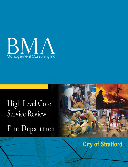

# High Level Core **Service Review** Fire Department



# **City of Stratford**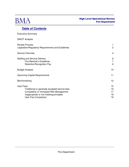

# **Table of Contents**

| <b>Executive Summary</b>                                                                                                                                                         |                            |
|----------------------------------------------------------------------------------------------------------------------------------------------------------------------------------|----------------------------|
| <b>SWOT Analysis</b>                                                                                                                                                             |                            |
| <b>Review Process</b><br>Legislation/Regulatory Requirements and Guidelines                                                                                                      | 1<br>2                     |
| <b>Service Overview</b>                                                                                                                                                          | 4                          |
| <b>Staffing and Service Delivery</b><br><b>Fire Marshal's Guidelines</b><br>Retention/Recognition Pay                                                                            | 6<br>$\overline{7}$<br>9   |
| <b>Budget Analysis</b>                                                                                                                                                           | 10                         |
| <b>Upcoming Capital Requirements</b>                                                                                                                                             | 11                         |
| Benchmarking                                                                                                                                                                     | 12                         |
| <b>User Fees</b><br>Traditional or generally accepted service fees<br>Competitive or Increased Risk Management<br>Inappropriate or not meeting principles<br>User Fee Comparison | 15<br>16<br>17<br>18<br>18 |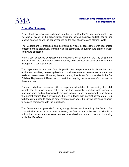

#### **Executive Summary**

A high level overview was undertaken on the City of Stratford's Fire Department. This included a review of the organization structure, service delivery, budget, capital and reserve analysis as well as benchmarking on the cost of service and staffing levels.

The Department is organized and delivering services in accordance with recognized practices and is proactively working with the community to support and promote public safety and education.

From a cost of service perspective, the cost borne by taxpayers in the City of Stratford are lower than the survey average on a per \$1,000 of assessment basis and close to the average on a per capita basis.

The Department is in a good financial position with respect to funding its vehicles and equipment on a lifecycle costing basis and continues to set aside reserves on an annual basis for these assets. However, there is currently insufficient funds available in the Fire Building Replacement Reserves to meet the ongoing replacement/refurbishment of these stations.

Further budgetary pressures will be experienced related to increasing the staff complement to move toward achieving the Fire Marshal's guideline with respect to response times and staff available to respond to fires. Based on comparative analysis of the current staffing levels by platoon, the City is lower than several comparators. But with the current plan to add one new firefighter each year, the City will increase its ability to achieve compliance with the guidelines.

The Department is generally following the guidelines set forward by the Ontario Fire Marshal with respect to user fees, however, the fees appear to be low and should be rationalized to ensure that revenues are maximized within the context of improving public fire/life safety.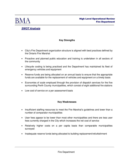



# **SWOT Analysis**

#### **Key Strengths**

- City's Fire Department organization structure is aligned with best practices defined by the Ontario Fire Marshal
- Proactive and planned public education and training is undertaken in all sectors of the community
- Lifecycle costing is being practiced and the Department has maintained its fleet of emergency vehicles and equipment
- Reserve funds are being allocated on an annual basis to ensure that the appropriate funds are available for the replacement of vehicles and equipment on a timely basis
- Economies of scale employed through the provision of dispatch services for the five surrounding Perth County municipalities, which consist of eight additional fire stations
- Low cost of service on a per assessment basis

#### **Key Weaknesses**

- Insufficient staffing resources to meet the Fire Marshal's guidelines and lower than a number of comparator municipalities
- User fees appear to be lower than most other municipalities and there are less user fees currently charged in the City which increases the net cost of service
- Relatively higher costs on a per capita basis than comparable municipalities surveyed
- Inadequate reserve funds being allocated to building replacement/refurbishment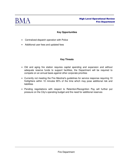

#### **Key Opportunities**

- Centralized dispatch operation with Police
- Additional user fees and updated fees

#### **Key Threats**

- Old and aging fire station requires capital spending and expansion and without adequate reserve funds to support facilities, the Department will be required to compete on an annual basis against other corporate priorities
- Currently not meeting the Fire Marshal's guidelines for service response requiring 10 firefighters within 10 minutes 90% of the time which may pose additional risk and liabilities
- Pending negotiations with respect to Retention/Recognition Pay will further put pressure on the City's operating budget and the need for additional reserves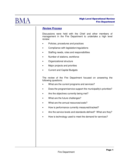

#### **Review Process**

Discussions were held with the Chief and other members of management in the Fire Department to undertake a high level review:

- Policies, procedures and practices
- Compliance with legislation/regulations
- Staffing needs, roles and responsibilities
- Number of stations, workforce
- Organizational structure
- Major projects and priorities
- Current and Capital Budgets

The review of the Fire Department focused on answering the following questions:

- What are the current programs and services?
- Does the program/service support the municipality's priorities?
- Are the objectives currently being met?
- What are the future challenges?
- What are the annual resources/costs?
- How is performance currently measured/tracked?
- Are the service levels and standards defined? What are they?
- How is technology used to meet the demand for services?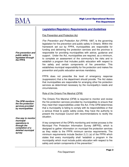

## **Legislation/Regulatory Requirements and Guidelines**

Fire Prevention and Protection Act

Fire Prevention and Protection Act (FPPA) 1997, is the governing legislation for fire prevention and public safety in Ontario. Within the framework set out by FPPA, municipalities are responsible for funding and delivering fire protection services and the province is responsible for providing municipalities with advice, guidance and support. Under the Act, municipalities are required, as a minimum, to complete an assessment of the community's fire risks and to establish a program that includes public education with respect to fire safety and certain components of fire prevention. This establishes municipal responsibility for fire protection and makes fire prevention and public education services mandatory.

FPPA does not prescribe the level of emergency response (suppression) that a fire department should provide. The Act states that municipalities are responsible for arranging other fire protection services as determined necessary by the municipality's needs and circumstances.

#### Role of the Ontario Fire Marshal (OFM)

The Ontario Fire Marshal (OFM) is required to monitor and review the fire protection services provided by municipalities to ensure that they meet their responsibilities under the Act. If the OFM determines that a municipality is failing to comply with its responsibilities or that a serious threat to public safety exists, they have the authority to present the municipal Council with recommendations to rectify the situation.

A key component of the OFM's monitoring and review process is the Municipal Fire Protection Information Survey (MFPIS), which is designed to gather information on municipal fire protection services as they relate to the FPPA minimum service requirements. The minimum requirements include Section 2.(1) (a) of the FPPA which states that every municipality shall "establish a program in the municipality which must include public education with respect to fire safety and certain components of fire prevention."

**Fire prevention and public safety is legislated through the FPPA** 

**The OFM monitors the fire protection services provided by municipalities** 

**One way to monitor municipal operations is through the completion of a detailed municipal survey**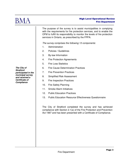

The purpose of the survey is to assist municipalities in complying with the requirements for fire protection services, and to enable the OFM to fulfill its responsibility to monitor the levels of fire protection services in Ontario, as prescribed by the FPPA.

The survey comprises the following 13 components:

- 1. Administration
- 2. Policies / Guidelines
- 3. By-law Information
- 4. Fire Protection Agreements
- 5. Fire Loss Statistics
- 6. Fire Cause Determination Practices
- 7. Fire Prevention Practices
- 8. Simplified Risk Assessment
- 9. Fire Inspection Practices
- 10. Fire Safety Planning
- 11. Smoke Alarm Initiatives
- 12. Public Education Practices
- 13. Public Education Resource Effectiveness Questionnaire

The City of Stratford completed the survey and has achieved compliance with Section 2.1(a) of the Fire Protection and Prevention Act 1997 and has been presented with a Certificate of Compliance.

**The City of Stratford participated in the municipal survey and received a Certificate of Compliance**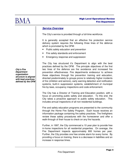

# **Service Overview**

The City's service is provided through a full-time workforce.

It is generally accepted that an effective fire protection service delivery system requires the following three lines of fire defence which is promoted by the OFM:

- Public safety education and prevention
- Fire safety standards and enforcement
- Emergency response and suppression

The City has structured it's Department to align with the best practices defined by the OFM. The principle objectives of the first two lines of fire defence are fire avoidance and increased fire prevention effectiveness. Fire departments endeavour to achieve these objectives through fire prevention training and education, directed predominately to groups prone to relatively higher incidents of fire (children and seniors), early warning detection and notification systems, built-in suppression systems, establishment of municipal fire by-laws, occupancy inspections and code enforcement.

The City has a Director of Training and Education position, with a focus on promoting public safety and education. To this end, the City takes a proactive approach to public safety education. This includes annual inspections of all non-residential buildings.

Fire and safety education programs are presented to the community through the Home Fire Safety Program. Each house receives an information package containing fire safety practices. The firefighters review these safety procedures with the homeowner and offer a walk-through of their house to check on any fire hazards.

Further, in 1997, the City commenced a 10 year plan to provide free in-home inspections for all residential properties. On average, the Fire Department inspects approximately 800 homes per year. Further, the City provides one free smoke alarm for every home. By providing a focus on training, there is a decrease in liabilities and an increase in response times.

**City's Fire Department organization structure is aligned with best practices defined by the OFM**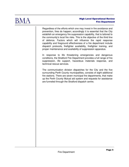

Regardless of the efforts which one may invest in fire avoidance and prevention, fires do happen; accordingly it is essential that the City establish an emergency fire suppression capability, that is tailored to the community's local fire risks. This is the objective of the third line of defence. Factors which will influence the rapid response capability and fireground effectiveness of a fire department include dispatch protocols, firefighter availability, firefighter training, and proper maintenance and availability of suppression apparatus.

In response to life threatening emergencies and dangerous conditions, the Stratford Fire Department provides a full range of fire suppression, life support, hazardous materials response, and technical rescue services.

The communication division dispatches for the City and the five surrounding Perth County municipalities, consists of eight additional fire stations. There are seven municipal fire departments, that make up the Perth County Mutual aid system and requests for assistance are funneled through the Stratford dispatch centre.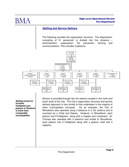

# **Staffing and Service Delivery**

The following provides the organization structure. The Department, consisting of 51 personnel, is divided into five divisions – administration, suppression, fire prevention, training and communications. This includes 4 platoons.



**Staffing levels for frontline firefighters per platoon in Stratford is lower than comparable municipalities** 

Service is provided through two fire stations located in the north and south ends of the City. The City's organization structure and service delivery approach is very similar to that undertaken in the majority of other municipalities surveyed. As an example, the City of Woodstock also operates using 4 platoons in 2 fire stations and is overseen by a Chief and Deputy. However, in Woodstock, each platoon has 9 firefighters along with a Captain and Lieutenant. St. Thomas also operates with 4 platoons and similar to Woodstock, each platoon has 9 firefighters along with a platoon chief and 2 captains.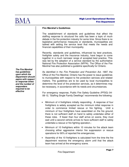

#### **Fire Marshal's Guidelines**

The establishment of standards and guidelines that affect the staffing response to structural fire calls has been a topic of much debate in the fire protection industry for some time. Since there is no legislative performance measures or standards, municipalities are tasked with setting the service level that meets the needs and financial capabilities of their municipality.

Recently, standards and guidelines, influenced by best practices, firefighter safety and the insurance industry, have begun to come together in a much narrower range of accepted best practice. This was led by the adoption of a service standard by the authoritative National Fire Protection Association (NFPA). The Office of the Fire Marshal has also published a guideline specifically for Ontario.

As identified in the Fire Protection and Prevention Act, 1997, the Office of the Fire Marshal, Ontario has the power to issue guidelines to municipalities with respect to fire protection services and related matters. The guidelines are to be used by local municipalities to determine the level of fire protection services, as it determines may be necessary, in accordance with its needs and circumstances.

For emergency response, Public Fire Safety Guideline (PFSG) 04- 08-12, "Staffing Single Family Dwellings" recommends the following:

- Minimum of 4 firefighters initially responding. A response of four firefighters is widely accepted as the minimum initial response in order to commence limited rescue or fire fighting. Until a minimum of four firefighters have assembled on the fire ground, there is not sufficient staff on hand to safely undertake either of these roles. If fewer than four staff arrive on scene, they must wait until a second vehicle arrives to have sufficient staff to safely undertake a rescue or fire fighting operation.;
- Minimum of 10 firefighters within 10 minutes for fire attack team choosing either aggressive interior fire suppression or rescue operations for 90% of reported fire emergencies;
- Assembly of the 10 firefighters is calculated from the time the fire department receives the emergency alarm until that fire attack team has arrived at the emergency scene.

**The Fire Marshal has guidelines upon which the Department should aspire with respect to response times and the number of responders required to be effective**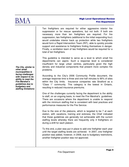

Ten firefighters are required for either aggressive interior fire suppression or for rescue operations, but not both. If both are necessary more than ten firefighters are required. For fire suppression, two firefighters (additional to the initial responding four) would undertake interior back up protection while two firefighters would form a Rapid Intervention Team (RIT), able to quickly provide support and assistance to firefighters finding themselves in danger. Finally, a ventilation team of two firefighters would be required for a total of ten firefighters.

This guideline is intended to serve as a level to which small fire departments can aspire. Such a response level is considered insufficient for large urban centres, particularly given the high density and industrial components that present more complex fire problems.

According to the City's 2006 Community Profile document, the average response time is three and one-half minutes to 90% of sites within the City limits. Insurance companies rate Stratford as a "Class 1" community. This category is the lowest in Ontario, resulting in reduced insurance premiums.

One of the challenges currently facing the department is the ability to staff, on an ongoing basis, to meet the Fire Marshal's guidelines. There are occasions where the department is unable to respond with the minimum staffing that is consistent with best practices and performance measures for the Fire Service.

Due to the size of the platoons, which is targeted to be 7 at each station, with vacations, training and sickness, the Chief indicated that these guidelines are generally not achievable with the current staffing levels whereby there are frequently only 4 firefighters on during a shift for each platoon.

To this end, a plan was put in place to add one firefighter each year until the target staffing levels are achieved. In 2007, one firefighter position was added, however, in 2008, due to budgetary restrictions, another firefighter position was not approved.

**The City, similar to other small municipalities is facing challenges with respect to its ability to meet the Fire Marshal's guidelines due to budgetary and staffing limitations**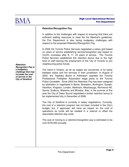

#### **Retention/Recognition Pay**

In addition to the challenges with respect to ensuring that there are sufficient staffing resources to meet the fire Marshal's quidelines, the Fire Department is also facing budgetary challenges with respect to the proposed Retention/Recognition Pay.

In 2002 the Toronto Police Services negotiated a salary grid based on years of service establishing service/recognition pay based on 3,6,9% increases after 8, 17, 23 years of service. The Toronto Police Services established this retention bonus due to the high level of staff leaving the employment of the City of Toronto to join neighbouring police forces.

The trend in Ontario, as far as wages are concerned, is for parity between police and fire services in their jurisdiction. In August of 2003, the Teplitsky Board of Arbitration awarded the Toronto Professional Firefighter Association wage parity to the Toronto Police Constable. Since 2003 the Retention Pay has been assigned by arbitration or negotiated in Barrie, Brampton, Burlington, Guelph, Hamilton, Kingston, London, Markham, Mississauga, Richmond Hill, Sarnia, Sudbury, Waterloo and Windsor. Also, in the summer of this year the City of Owen Sound negotiated a similar retention bonus to be implemented fully in December of 2008.

The City of Stratford is currently in salary negotiations. Currently, the cost of a retention program has not been included in the City's budget, but, if approved, will have an impact on the cost of operations as funds will be needed in a reserve to offset the associated retention pay costs.

The cost of moving to a retention/recognition pay is estimated to be over \$150,000 annually.

**Retention/ Recognition Pay is a budgetary challenge that may increase the cost of service in the City of Stratford**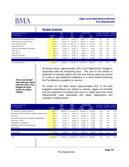

## **Budget Analysis**

| <b>Fire Department Summary</b>       |               | <b>FINAL</b>  |    | <b>FINAL</b> |   | <b>PROJECTED</b> |               |      |      | % Change % Change % Change    |
|--------------------------------------|---------------|---------------|----|--------------|---|------------------|---------------|------|------|-------------------------------|
| <b>Net Expenditures</b>              | % of 2008     | 2007          |    | 2008         |   | 2009             | 2010          |      |      | 2007-2008 2008-2009 2009-2010 |
|                                      | <b>Budget</b> | <b>Budget</b> |    | Budget       |   | Budget           | <b>Budget</b> |      |      |                               |
| FIRE PROTECTION ADMINISTRATION       | $9.4\%$ \$    | 474,549 \$    |    | 492,161 \$   |   | 503,437 \$       | 513,899       | 3.7% | 2.3% | 2.1%                          |
| FIRE PROTECTION DISPATCHING          | $6.6\%$ \$    | 330,915 \$    |    | 347.232 \$   |   | 361.840 \$       | 373.540       | 4.9% | 4.2% | 3.2%                          |
| FIRE FIGHTING FORCE                  | $75.1\%$ \$   | 3.771.028     | S. | 3,943,717    | S | 4,236,210 \$     | 4,512,152     | 4.6% | 7.4% | 6.5%                          |
| <b>FIRE PREVENTION</b>               | $4.2\%$ \$    | 216.856 \$    |    | 221.368 \$   |   | 228.334 \$       | 235.347       | 2.1% | 3.1% | 3.1%                          |
| FIRE DEPT EQUIPMENT PURCHASES        | $0.3\%$ \$    | 13,000 \$     |    | $13,250$ \$  |   | 13,500 \$        | 14,000        | 1.9% | 1.9% | 3.7%                          |
| FIRE HALL #1                         | $0.5\%$ \$    | 28,150 \$     |    | 28,650 \$    |   | 29,500 \$        | 30.350        | 1.8% | 3.0% | 2.9%                          |
| FIRE HALL #2                         | $0.4\%$ \$    | 19.700 \$     |    | $20,250$ \$  |   | $20,625$ \$      | 21.375        | 2.8% | 1.9% | 3.6%                          |
| FIRE DEPT TRAINING                   | $2.4\%$ \$    | 120,524 \$    |    | 126,025 \$   |   | 130,002 \$       | 133,770       | 4.6% | 3.2% | 2.9%                          |
| FIRE PROTECTION VEHICLES & EQUIPMENT | $1.1\%$ \$    | 53,800 \$     |    | 55,400 \$    |   | 56,900 \$        | 58,600        | 3.0% | 2.7% | 3.0%                          |
|                                      |               |               |    |              |   |                  |               |      |      |                               |

**There are limited discretionary items with the City's Fire budget as most costs are salary related** 

Total Net Expenditures 100.0% 6.3% 100.0% 5,028,522 \$ 5,248,053 \$ 5,580,348 \$ 5,893,033 4.4% 6.3% 5.6%

As shown above, approximately 75% of the Department's budget is associated with the firefighting force. The cost of this section is expected to increase fastest over the next several years as a result of a plan to add additional firefighters in a move toward achieving the Fire Marshal's guideline for service.

As shown on the table below, approximately 94% of the total budgeted expenditures are related to salaries, wages and benefits and are expected to increase over time at a faster pace than other Departmental costs associated with salary negotiations and changes in staffing levels.

| <b>Fire Department Summary</b>                  |                            | <b>FINAL</b><br><b>FINAL</b> |    | <b>PROJECTED</b>      |                       |      |                       | % Change % Change % Change |                               |      |
|-------------------------------------------------|----------------------------|------------------------------|----|-----------------------|-----------------------|------|-----------------------|----------------------------|-------------------------------|------|
| Item of Expenditure                             | % of 2008<br><b>Budget</b> | 2007<br><b>Budget</b>        |    | 2008<br><b>Budget</b> | 2009<br><b>Budget</b> |      | 2010<br><b>Budget</b> |                            | 2007-2008 2008-2009 2009-2010 |      |
| F.T. SALARIES & WAGES, BENEFITS                 | $93.7\%$ \$                | 4,699,422 \$                 |    | 4,916,633             | \$<br>5,243,603       | - \$ | 5,549,903             | 4.6%                       | 6.7%                          | 5.8% |
| MATERIALS, OFFICE SUPPLIES, GENERAL ADMIN COSTS | $0.8\%$ \$                 | 42,200 \$                    |    | 43,470                | \$<br>44,720 \$       |      | 45,795                | 3.0%                       | 2.9%                          | 2.4% |
| <b>UTILITIES</b>                                | $0.7\%$ \$                 | 34,700 \$                    |    | 35,550                | \$<br>36,625 \$       |      | 37,675                | 2.4%                       | 3.0%                          | 2.9% |
| OTHER STAFFING COSTS, TRAINING, MEMBERSHIPS     | $0.9\%$ \$                 | 49,300 \$                    |    | 49,800 \$             | $51,100$ \$           |      | 52,660                | 1.0%                       | 2.6%                          | 3.1% |
| SERVICES - OTHER                                | $0.9\%$ \$                 | 43,100 \$                    |    | 45,050 \$             | 46,000 \$             |      | 47,600                | 4.5%                       | 2.1%                          | 3.5% |
| TRANSFERS TO RESERVES                           | $2.9\%$ \$                 | 153,000 \$                   |    | 153,000               | \$<br>153,000 \$      |      | 153,000               | 0.0%                       | 0.0%                          | 0.0% |
| EQUIPMENT AND VEHICLE EXPENSES                  | $0.9\%$ \$                 | 48,400 \$                    |    | 48,950                | \$<br>50,300 \$       |      | 51,900                | 1.1%                       | 2.8%                          | 3.2% |
| <b>LEGAL FEES</b>                               | $0.2\%$ \$                 | $10,000$ \$                  |    | $10,000$ \$           | $10,000$ \$           |      | 10,000                | 0.0%                       | 0.0%                          | 0.0% |
|                                                 |                            |                              |    |                       |                       |      |                       |                            |                               |      |
| Less Revenues                                   | $-1.0\%$ \$                | $(51,600)$ \$                |    | $(54, 400)$ \$        | $(55,000)$ \$         |      | (55,500)              | 5.4%                       | 1.1%                          | 0.9% |
|                                                 |                            |                              |    |                       |                       |      |                       |                            |                               |      |
| Total                                           | 100.0% \$                  | 5,028,522                    | \$ | 5,248,053             | \$<br>5,580,348       | \$   | 5,893,033             | 4.4%                       | 6.3%                          | 5.6% |
|                                                 |                            |                              |    |                       |                       |      |                       |                            |                               |      |
|                                                 |                            |                              |    |                       |                       |      |                       |                            |                               |      |
|                                                 |                            |                              |    |                       |                       |      |                       |                            |                               |      |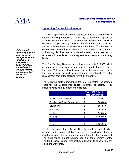

# **Upcoming Capital Requirements**

The Fire Department has some significant capital requirements to support ongoing operations. The City is transferring \$153,000 annually to a reserve for the replacement of equipment and vehicles based on lifecycle costing, however, no funds have been allocated for the replacement/refurbishment of the fire halls. The fire vehicle depreciation reserve has a balance of approximately \$660,000 and a financing plan has been established whereby future transfers to reserves will be sufficient for the replacement of vehicles on a timely basis.

The Fire Building Reserve has a balance of only \$13,000 which appears to be insufficient to fund ongoing refurbishment of these facilities. Without a detailed accounting of the condition of these facilities, industry standards suggest the need to set aside 2% of the replacement cost of the facilities (\$40,000 annually).

The following table summarizes the total estimated replacement costs for the Department's current inventory of assets. This includes vehicles, equipment and buildings.

|                              | <b>Total 2007 Estimated</b><br><b>Replacement Cost</b> |
|------------------------------|--------------------------------------------------------|
| Furniture & Accessories      | \$<br>86,687                                           |
| Supplies and Small Equipment | \$<br>563,030                                          |
| Equipment                    | \$<br>531,513                                          |
| Hardware                     | \$<br>62,680                                           |
| Vehicles                     | \$<br>2,555,630                                        |
| <b>Building</b>              | \$<br>6,000,000                                        |
|                              |                                                        |
| Total                        | \$<br>9,799,540                                        |

The Fire Department has also identified the need for capital funds to enlarge and upgrade station facilities. Specifically, there is insufficient space for records management and to store equipment. The 2008 capital budget includes \$464,000 for a training centre. The 2008 capital budget also included \$25,000 to expand the bay office and work area.

**While annual transfers are being made to support the replacement of vehicles on a timely basis, similar funds are not available for the replacement/ refurbishment of the two fire stations**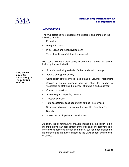

# **Benchmarking**

The municipalities were chosen on the basis of one or more of the following criteria:

- Population
- Geographic area
- Mix of urban and rural development
- Type of workforce (full-time fire services)

Fire costs will vary significantly based on a number of factors including but not limited to:

- Size of municipality and mix of urban and rural coverage
- Volume and type of activity
- Composition of fire services—use of paid or volunteer firefighters
- Service levels on response time can affect the number of firefighters on staff and the number of fire halls and equipment
- Specialized services
- Accounting and reporting practice
- Dispatch services
- Total assessment base upon which to fund Fire services
- Salary schedules and policies with respect to Retention Pay
- Density
- Size of the municipality and service area

As such, the benchmarking analysis included in this report is not meant to provide an assessment of the efficiency or effectiveness of the services delivered in each community, but has been included to help understand the factors impacting the City's budget and the cost of service.

**Many factors impact the comparability of Fire costs and services**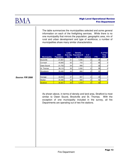

The table summarizes the municipalities selected and some general information on each of the firefighting services. While there is no one municipality that mirrors the population, geographic area, mix of rural and urban development and type of workforce, a number of municipalities share many similar characteristics.

| <b>Municipality</b> | 2006<br><b>Population</b> | Land<br>Area (Sq.<br>$Km$ ) | <b>Density</b><br><b>Population/S</b><br>q. Km | $#$ of<br><b>stations</b> | <b>FTE</b> | # of Part<br><b>Time</b><br><b>Staff</b> |
|---------------------|---------------------------|-----------------------------|------------------------------------------------|---------------------------|------------|------------------------------------------|
| <b>Brockville</b>   | 21,957                    | 21                          | 1,046                                          | 2                         | 39         | 6                                        |
| Cornwall            | 45,965                    | 62                          | 743                                            | 2                         | 65         | 0                                        |
| Owen Sound          | 21,753                    | 24                          | 906                                            |                           | 32         | 0                                        |
| St. Thomas          | 36,110                    | 35                          | 1,032                                          | 2                         | 59         | 0                                        |
| Woodstock           | 35,480                    | 44                          | 806                                            | 2                         | 52         | $\overline{0}$                           |
|                     |                           |                             |                                                |                           |            |                                          |
| Average             | 32,253                    | 37                          | 907                                            | 2                         | 49         |                                          |
| Median              | 35,480                    | 35                          | 906                                            | 2                         | 52         | 0                                        |
| <b>Stratford</b>    | 30.461                    | 25                          | 1,218                                          | $\overline{2}$            | 52         | 0                                        |

#### **Source: FIR 2006**

As shown above, in terms of density and land area, Stratford is most similar to Owen Sound, Brockville and St. Thomas. With the exception of one municipality included in the survey, all fire Departments are operating out of two fire stations.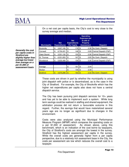

On a net cost per capita basis, the City's cost is very close to the survey average and median.

| <b>Municipality</b> | <b>Net</b><br><b>Expenditures</b> | <b>Net</b><br><b>Expenditures</b><br><b>Per Capita</b> | <b>Operating</b><br><b>Expenses per</b><br>\$1,000 of<br><b>Property</b><br><b>Assessment</b> | <b>Dispatch</b>           |
|---------------------|-----------------------------------|--------------------------------------------------------|-----------------------------------------------------------------------------------------------|---------------------------|
| <b>Brockville</b>   | \$<br>3.927,165                   | \$<br>179                                              | \$<br>2.38                                                                                    | No Centr. Dispatch        |
| Cornwall            | \$<br>6,704,431                   | \$<br>146                                              | \$<br>2.69                                                                                    | Central Dispatch (F&P)    |
| Owen Sound          | \$<br>3,331,132                   | \$<br>153                                              | \$<br>2.06                                                                                    | Central Dispatch (F&P)    |
| St. Thomas          | \$<br>6,031,833                   | \$<br>167                                              | \$<br>2.83                                                                                    | No Centr. Dispatch        |
| Woodstock           | \$<br>5,630,499                   | \$<br>159                                              | \$<br>2.26                                                                                    | Central Dispatch (F&P)    |
|                     |                                   |                                                        |                                                                                               |                           |
| Average             |                                   | \$<br>161                                              | \$<br>2.44                                                                                    |                           |
| Median              |                                   | \$<br>159                                              | \$<br>2.38                                                                                    |                           |
| <b>Stratford</b>    | \$<br>4,975,296                   | \$<br>163                                              | \$<br>2.02                                                                                    | <b>No Centr. Dispatch</b> |

**Generally the cost per capita costs in Stratford are slightly higher than average but lower than average on a per \$1,000 of assessment basis** 

> These costs are driven in part by whether the municipality is using joint dispatch with police or is decentralized, as is the case in the City of Stratford. For example, the City of Brockville which has the higher net expenditures per capita also does not have a central dispatch service.

> The City has been pursuing joint dispatch services for  $10+$  years and has yet to be able to implement such a system. While long term savings could be realized in staffing and shared equipment, the arbitration process did not return a favourable outcome in this regard. Further, the savings that would have materialized several years ago are no longer as significant due to changes in the environment.

> Costs were also analyzed using the Municipal Performance Measure Program (MPMP) which compares the operating costs on a per \$1,000 of assessment. As shown above, using this benchmark, which is an indication of the cost borne by taxpayers, the City of Stratford's costs are amongst the lowest in the survey. Stratford has the highest assessment per capita in the survey. While the overall costs are generally higher from a per capita perspective, due to a relatively rich assessment base in the City, the costs per assessment are low which reduces the overall cost to a taxpayer.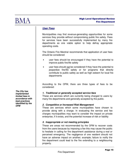

# **User Fees**

Municipalities may find revenue-generating opportunities for some services they provide without compromising public fire safety. Fees for services have been successfully implemented by many fire departments as one viable option to help defray appropriate operating costs.

The Ontario Fire Marshal recommends that application of user fees should be considered:

- user fees should be encouraged if they have the potential to improve public fire/life safety
- user fees should not be considered if they have the potential to jeopardize fire/life safety or for programs that directly contribute to public safety as well as high esteem for local fire departments

According to the OFM, there are three types of fees to be considered:

#### **1. Traditional or generally accepted service fees**

These are services which are currently being charged to users by many fire departments and generally accepted by the public.

#### **2. Competitive or Increased Risk Management**

These are services which some municipalities have chosen to provide along with a charge. In evaluating the service and fee charges municipalities may want to consider the impact on private enterprise, if it exists, and the potential increase of risk or liability

#### **3. Inappropriate or not meeting principles**

These are areas not recommended by the OFM to recover costs from the users because by imposing a fee this may cause the public to hesitate in calling for fire department assistance during a real or perceived emergency. The negligence of one resident should not have an adverse impact on another; example; failure to notify the fire department could lead to the fire extending to a neighbouring property.

**The City has implemented limited fees in accordance with best practices identified by the OFM**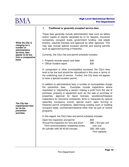

#### **1. Traditional or generally accepted service fees**

These fees generally include administration fees such as letters and/or copies of reports requested by or for lawyers, insurance companies, occupant loads, government funding, real estate brokers, required licenses and approval by other agencies. This may also include special occasion permits and issuing permits such as approved burning or fireworks.

Currently, the City's fee and permit schedule includes:

- Property records search and letter \$40
- Officer incident report \$30

In comparison to other municipalities surveyed, the City's fees tend to be low and should be rationalized in this area in terms of the underlying cost of service. Further, the City does not appear to have a special occasion permit.

In addition to administrative fees, a number of municipalities charge fire prevention fees. Examples include inspections where requested or required by a person making a profit from the use of premises, property or equipment such as; the sale or purchase of properties, approval for liquor licenses, woodstove/fireplace inspections for insurance companies, tents or marquees for special assembly occupancy events, special event, open burning or fireworks permit compliance, determining existing room or building occupant loads, commercial/industrial other than as part of routine programs.

In this regard, the City's fees and permit schedule includes:

| Open fire inspection and permit           | \$50                 |
|-------------------------------------------|----------------------|
| Annual fire inspection for inns and short | $$85 + $10$ per unit |
| Term accommodation residential zones      | over one             |
| Air cylinder refill 30-45-60 minutes      | \$30, 300 cubic      |

over one Foot capacity

**While the City is charging for a number of administrative services, fees appear to be low from a comparative basis** 

**The City has implemented fees for its fire prevention activities**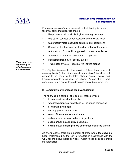

From a suppression/rescue perspective the following includes fees that some municipalities charge:

- $\checkmark$  Responses on all provincial highways or right of ways
- $\checkmark$  Extrication services to non residents on municipal roads
- $\checkmark$  Suppression/rescue activities contracted by agreement
- $\checkmark$  Special contract services such as hazmat or water rescue
- $\checkmark$  Automatic aid for specific suppression or rescue activities
- Specific false alarm or open burning responses
- **x** Requested stand by for special events
- **x** Training for private or industrial fire fighting groups

The City has implemented the majority of these fees on a cost recovery basis (noted with a check mark above) but does not appear to be charging for false alarms, special events and training for private or industrial fire fighting. As part of an overall user fee review process, these decisions should be rationalized.

#### **2. Competitive or Increased Risk Management**

The following is a sample list of some of these services;

- $\checkmark$  filling air cylinders for the public
- woodstove/fireplace inspections for insurance companies
- filling swimming pools
- **x** flooding private skating rinks
- **x** rental of fire department equipment
- selling and/or maintaining fire extinguishers
- selling and/or installing key lock boxes
- selling and/or installing smoke and carbon monoxide alarms

As shown above, there are a number of areas where fees have not been implemented by the City of Stratford in accordance with the OFM for the above noted services. Again, these decisions should be rationalized.

**There may be an opportunity to establish some additional fees**